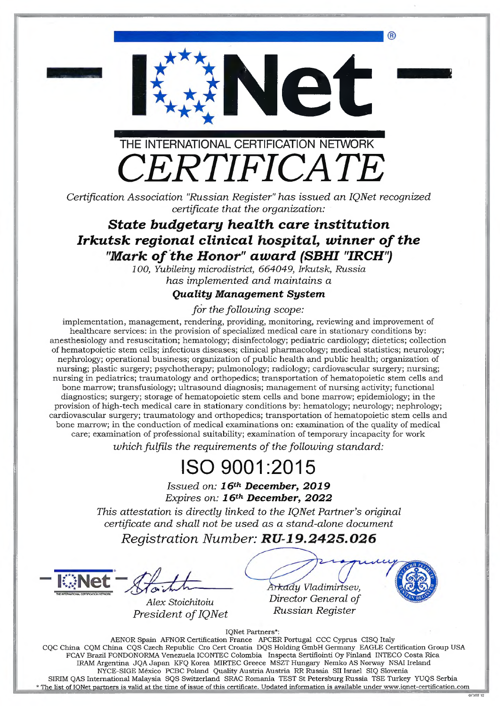

£**Net**

*Certification Association 'Russian Register" has issued an IQNet recognized certificate that the organization:*

#### *State budgetary health care institution Irkutsk regional clinical hospital, winner of the* "Mark of the Honor" award (SBHI "IRCH")

*100, Yubileiny microdistrict, 664049, Irkutsk, Russia has implemented and maintains a*

#### *Quality Management System*

*for the following scope:*

implementation, management, rendering, providing, monitoring, reviewing and improvement of **healthcare services: in the provision of specialized medical care in stationary conditions by: anesthesiology and resuscitation; hematology; disinfectology; pediatric cardiology; dietetics; collection of hematopoietic stem cells; infectious diseases; clinical pharmacology; medical statistics; neurology; nephrology; operational business; organization of public health and public health; organization of nursing; plastic surgery; psychotherapy; pulmonology; radiology; cardiovascular surgery; nursing; nursing in pediatrics; traumatology and orthopedics; transportation of hematopoietic stem cells and** bone marrow; transfusiology; ultrasound diagnosis; management of nursing activity; functional **diagnostics; surgery; storage of hematopoietic stem cells and bone marrow; epidemiology; in the provision of high-tech medical care in stationary conditions by: hematology; neurology; nephrology; cardiovascular surgery; traumatology and orthopedics; transportation of hematopoietic stem cells and** bone marrow; in the conduction of medical examinations on: examination of the quality of medical care; examination of professional suitability; examination of temporary incapacity for work

*which fulfils the requirements of the following standard:*

## ISO 9001:2015

*Issued on: 16th December, 2019 Expires on: 16th December, 2022*

*This attestation is directly linked to the IQNet Partner's original certificate and shall not be used as a stand-alone document*

*Registration Number:*

*<u>Zimet</u></u>* THE INTERNATIONAL CERTIFICATION NETWORK **XXXX** 

*Alex Stoichitoiu President of IQNet* 

*my Vladimirtsev, Director General of Russian Register*

 $\overline{OPT12}$ 

IQNet Partners\*:

AENOR Spain AFNOR Certification France APCER Portugal CCC Cyprus CISQ Italy CQC China CQM China CQS Czech Republic Cro Cert Croatia DQS Holding GmbH Germany EAGLE Certification Group USA FCAV Brazil FONDONORMA Venezuela ICONTEC Colombia Inspecta Sertifiointi Oy Finland INTECO Costa Rica IRAM Argentina JQA Japan KFQ Korea MIRTEC Greece MSZT Hungary Nemko AS Norway NSAI Ireland NYCE-SIGE Mexico PCBC Poland Quality Austria Austria RR Russia SII Israel SIQ Slovenia SIRIM QAS International Malaysia SQS Switzerland SRAC Romania TEST St Petersburg Russia TSE Turkey YUQS Serbia The list of IONet partners is valid at the time of issue of this certificate. Updated information is available under [www.iqnet-certification.com](http://www.iqnet-certification.com)